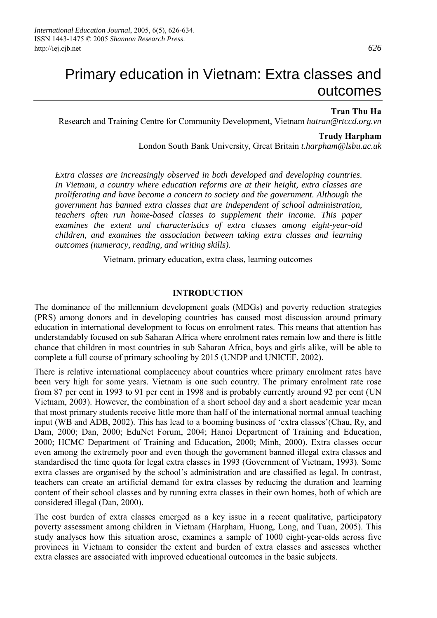# Primary education in Vietnam: Extra classes and outcomes

#### **Tran Thu Ha**

Research and Training Centre for Community Development, Vietnam *hatran@rtccd.org.vn* 

#### **Trudy Harpham**

London South Bank University, Great Britain *t.harpham@lsbu.ac.uk*

*Extra classes are increasingly observed in both developed and developing countries. In Vietnam, a country where education reforms are at their height, extra classes are proliferating and have become a concern to society and the government. Although the government has banned extra classes that are independent of school administration, teachers often run home-based classes to supplement their income. This paper examines the extent and characteristics of extra classes among eight-year-old children, and examines the association between taking extra classes and learning outcomes (numeracy, reading, and writing skills).* 

Vietnam, primary education, extra class, learning outcomes

#### **INTRODUCTION**

The dominance of the millennium development goals (MDGs) and poverty reduction strategies (PRS) among donors and in developing countries has caused most discussion around primary education in international development to focus on enrolment rates. This means that attention has understandably focused on sub Saharan Africa where enrolment rates remain low and there is little chance that children in most countries in sub Saharan Africa, boys and girls alike, will be able to complete a full course of primary schooling by 2015 (UNDP and UNICEF, 2002).

There is relative international complacency about countries where primary enrolment rates have been very high for some years. Vietnam is one such country. The primary enrolment rate rose from 87 per cent in 1993 to 91 per cent in 1998 and is probably currently around 92 per cent (UN Vietnam, 2003). However, the combination of a short school day and a short academic year mean that most primary students receive little more than half of the international normal annual teaching input (WB and ADB, 2002). This has lead to a booming business of 'extra classes'(Chau, Ry, and Dam, 2000; Dan, 2000; EduNet Forum, 2004; Hanoi Department of Training and Education, 2000; HCMC Department of Training and Education, 2000; Minh, 2000). Extra classes occur even among the extremely poor and even though the government banned illegal extra classes and standardised the time quota for legal extra classes in 1993 (Government of Vietnam, 1993). Some extra classes are organised by the school's administration and are classified as legal. In contrast, teachers can create an artificial demand for extra classes by reducing the duration and learning content of their school classes and by running extra classes in their own homes, both of which are considered illegal (Dan, 2000).

The cost burden of extra classes emerged as a key issue in a recent qualitative, participatory poverty assessment among children in Vietnam (Harpham, Huong, Long, and Tuan, 2005). This study analyses how this situation arose, examines a sample of 1000 eight-year-olds across five provinces in Vietnam to consider the extent and burden of extra classes and assesses whether extra classes are associated with improved educational outcomes in the basic subjects.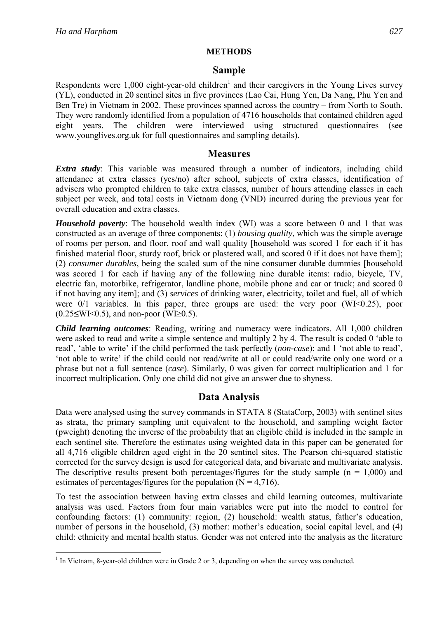## **METHODS**

## **Sample**

Respondents were  $1,000$  eight-year-old children<sup>1</sup> and their caregivers in the Young Lives survey (YL), conducted in 20 sentinel sites in five provinces (Lao Cai, Hung Yen, Da Nang, Phu Yen and Ben Tre) in Vietnam in 2002. These provinces spanned across the country – from North to South. They were randomly identified from a population of 4716 households that contained children aged eight years. The children were interviewed using structured questionnaires (see www.younglives.org.uk for full questionnaires and sampling details).

## **Measures**

*Extra study*: This variable was measured through a number of indicators, including child attendance at extra classes (yes/no) after school, subjects of extra classes, identification of advisers who prompted children to take extra classes, number of hours attending classes in each subject per week, and total costs in Vietnam dong (VND) incurred during the previous year for overall education and extra classes.

*Household poverty*: The household wealth index (WI) was a score between 0 and 1 that was constructed as an average of three components: (1) *housing quality*, which was the simple average of rooms per person, and floor, roof and wall quality [household was scored 1 for each if it has finished material floor, sturdy roof, brick or plastered wall, and scored 0 if it does not have them]; (2) *consumer durables*, being the scaled sum of the nine consumer durable dummies [household was scored 1 for each if having any of the following nine durable items: radio, bicycle, TV, electric fan, motorbike, refrigerator, landline phone, mobile phone and car or truck; and scored 0 if not having any item]; and (3) *services* of drinking water, electricity, toilet and fuel, all of which were 0/1 variables. In this paper, three groups are used: the very poor (WI<0.25), poor (0.25**≤**WI<0.5), and non-poor (WI≥0.5).

*Child learning outcomes*: Reading, writing and numeracy were indicators. All 1,000 children were asked to read and write a simple sentence and multiply 2 by 4. The result is coded 0 'able to read', 'able to write' if the child performed the task perfectly (*non-case*); and 1 'not able to read', 'not able to write' if the child could not read/write at all or could read/write only one word or a phrase but not a full sentence (*case*). Similarly, 0 was given for correct multiplication and 1 for incorrect multiplication. Only one child did not give an answer due to shyness.

# **Data Analysis**

Data were analysed using the survey commands in STATA 8 (StataCorp, 2003) with sentinel sites as strata, the primary sampling unit equivalent to the household, and sampling weight factor (pweight) denoting the inverse of the probability that an eligible child is included in the sample in each sentinel site. Therefore the estimates using weighted data in this paper can be generated for all 4,716 eligible children aged eight in the 20 sentinel sites. The Pearson chi-squared statistic corrected for the survey design is used for categorical data, and bivariate and multivariate analysis. The descriptive results present both percentages/figures for the study sample ( $n = 1,000$ ) and estimates of percentages/figures for the population  $(N = 4,716)$ .

To test the association between having extra classes and child learning outcomes, multivariate analysis was used. Factors from four main variables were put into the model to control for confounding factors: (1) community: region, (2) household: wealth status, father's education, number of persons in the household, (3) mother: mother's education, social capital level, and (4) child: ethnicity and mental health status. Gender was not entered into the analysis as the literature

<sup>&</sup>lt;sup>1</sup> In Vietnam, 8-year-old children were in Grade 2 or 3, depending on when the survey was conducted.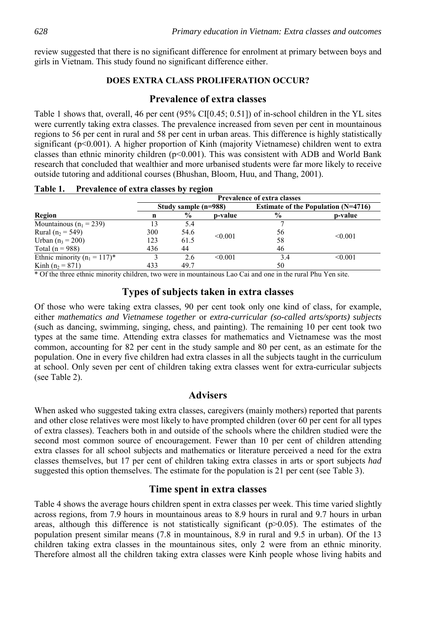review suggested that there is no significant difference for enrolment at primary between boys and girls in Vietnam. This study found no significant difference either.

## **DOES EXTRA CLASS PROLIFERATION OCCUR?**

# **Prevalence of extra classes**

Table 1 shows that, overall, 46 per cent (95% CI[0.45; 0.51]) of in-school children in the YL sites were currently taking extra classes. The prevalence increased from seven per cent in mountainous regions to 56 per cent in rural and 58 per cent in urban areas. This difference is highly statistically significant (p<0.001). A higher proportion of Kinh (majority Vietnamese) children went to extra classes than ethnic minority children (p<0.001). This was consistent with ADB and World Bank research that concluded that wealthier and more urbanised students were far more likely to receive outside tutoring and additional courses (Bhushan, Bloom, Huu, and Thang, 2001).

| <b>Region</b>                    |                      | <b>Prevalence of extra classes</b> |         |                                       |              |  |  |  |
|----------------------------------|----------------------|------------------------------------|---------|---------------------------------------|--------------|--|--|--|
|                                  | Study sample (n=988) |                                    |         | Estimate of the Population $(N=4716)$ |              |  |  |  |
|                                  | n                    | $\%$                               | p-value | $\frac{0}{0}$                         | p-value      |  |  |  |
| Mountainous ( $n_1$ = 239)       | 13                   | 5.4                                |         |                                       |              |  |  |  |
| Rural ( $n_2$ = 549)             | 300                  | 54.6                               | < 0.001 | 56                                    | < 0.001      |  |  |  |
| Urban $(n_3 = 200)$              | 123                  | 61.5                               |         | 58                                    |              |  |  |  |
| Total ( $n = 988$ )              | 436                  | 44                                 |         | 46                                    |              |  |  |  |
| Ethnic minority ( $n_1 = 117$ )* |                      | 2.6                                | < 0.001 | 3.4                                   | $\leq 0.001$ |  |  |  |
| Kinh $(n_2 = 871)$               | 433                  | 49.7                               |         | 50                                    |              |  |  |  |

**Table 1. Prevalence of extra classes by region** 

\* Of the three ethnic minority children, two were in mountainous Lao Cai and one in the rural Phu Yen site.

# **Types of subjects taken in extra classes**

Of those who were taking extra classes, 90 per cent took only one kind of class, for example, either *mathematics and Vietnamese together* or *extra-curricular (so-called arts/sports) subjects* (such as dancing, swimming, singing, chess, and painting). The remaining 10 per cent took two types at the same time. Attending extra classes for mathematics and Vietnamese was the most common, accounting for 82 per cent in the study sample and 80 per cent, as an estimate for the population. One in every five children had extra classes in all the subjects taught in the curriculum at school. Only seven per cent of children taking extra classes went for extra-curricular subjects (see Table 2).

## **Advisers**

When asked who suggested taking extra classes, caregivers (mainly mothers) reported that parents and other close relatives were most likely to have prompted children (over 60 per cent for all types of extra classes). Teachers both in and outside of the schools where the children studied were the second most common source of encouragement. Fewer than 10 per cent of children attending extra classes for all school subjects and mathematics or literature perceived a need for the extra classes themselves, but 17 per cent of children taking extra classes in arts or sport subjects *had*  suggested this option themselves. The estimate for the population is 21 per cent (see Table 3).

# **Time spent in extra classes**

Table 4 shows the average hours children spent in extra classes per week. This time varied slightly across regions, from 7.9 hours in mountainous areas to 8.9 hours in rural and 9.7 hours in urban areas, although this difference is not statistically significant  $(p>0.05)$ . The estimates of the population present similar means (7.8 in mountainous, 8.9 in rural and 9.5 in urban). Of the 13 children taking extra classes in the mountainous sites, only 2 were from an ethnic minority. Therefore almost all the children taking extra classes were Kinh people whose living habits and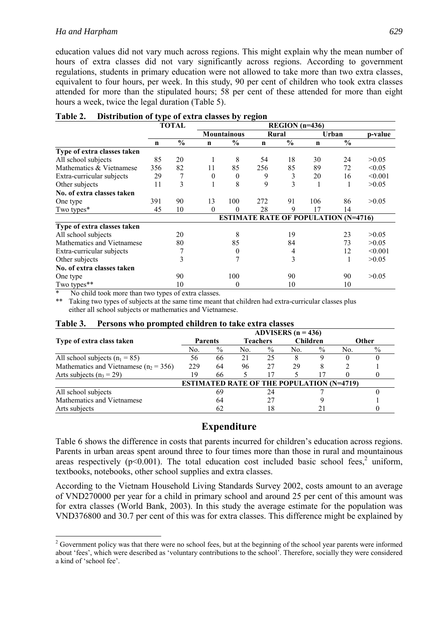#### *Ha and Harpham 629*

education values did not vary much across regions. This might explain why the mean number of hours of extra classes did not vary significantly across regions. According to government regulations, students in primary education were not allowed to take more than two extra classes, equivalent to four hours, per week. In this study, 90 per cent of children who took extra classes attended for more than the stipulated hours; 58 per cent of these attended for more than eight hours a week, twice the legal duration (Table 5).

|                             | <b>TOTAL</b> |               |          | $REGION$ (n=436)   |             |               |                                             |               |         |
|-----------------------------|--------------|---------------|----------|--------------------|-------------|---------------|---------------------------------------------|---------------|---------|
|                             |              |               |          | <b>Mountainous</b> | Rural       |               | Urban                                       |               | p-value |
|                             | n            | $\frac{0}{0}$ | n        | $\frac{0}{0}$      | $\mathbf n$ | $\frac{6}{6}$ | n                                           | $\frac{0}{0}$ |         |
| Type of extra classes taken |              |               |          |                    |             |               |                                             |               |         |
| All school subjects         | 85           | 20            |          | 8                  | 54          | 18            | 30                                          | 24            | >0.05   |
| Mathematics & Vietnamese    | 356          | 82            | 11       | 85                 | 256         | 85            | 89                                          | 72            | < 0.05  |
| Extra-curricular subjects   | 29           | 7             | $\theta$ | $\theta$           | 9           | 3             | 20                                          | 16            | < 0.001 |
| Other subjects              | 11           | 3             | 1        | 8                  | 9           | 3             |                                             | 1             | >0.05   |
| No. of extra classes taken  |              |               |          |                    |             |               |                                             |               |         |
| One type                    | 391          | 90            | 13       | 100                | 272         | 91            | 106                                         | 86            | >0.05   |
| Two types*                  | 45           | 10            | $\theta$ | $\theta$           | 28          | 9             | 17                                          | 14            |         |
|                             |              |               |          |                    |             |               | <b>ESTIMATE RATE OF POPULATION (N=4716)</b> |               |         |
| Type of extra classes taken |              |               |          |                    |             |               |                                             |               |         |
| All school subjects         |              | 20            |          | 8                  |             | 19            |                                             | 23            | >0.05   |
| Mathematics and Vietnamese  |              | 80            |          | 85                 |             | 84            |                                             | 73            | >0.05   |
| Extra-curricular subjects   |              |               |          | 0                  |             | 4             |                                             | 12            | < 0.001 |
| Other subjects              |              | 3             |          |                    |             | 3             |                                             | 1             | >0.05   |
| No. of extra classes taken  |              |               |          |                    |             |               |                                             |               |         |
| One type                    |              | 90            |          | 100                |             | 90            |                                             | 90            | >0.05   |
| Two types**                 |              | 10            |          | 0                  |             | 10            |                                             | 10            |         |

#### **Table 2. Distribution of type of extra classes by region**

No child took more than two types of extra classes.

 $\overline{a}$ 

\*\* Taking two types of subjects at the same time meant that children had extra-curricular classes plus either all school subjects or mathematics and Vietnamese.

| Table 3. | Persons who prompted children to take extra classes |
|----------|-----------------------------------------------------|
|----------|-----------------------------------------------------|

|                                           | ADVISERS $(n = 436)$ |               |                 |               |                                                  |               |       |               |
|-------------------------------------------|----------------------|---------------|-----------------|---------------|--------------------------------------------------|---------------|-------|---------------|
| Type of extra class taken                 | <b>Parents</b>       |               | <b>Teachers</b> |               | <b>Children</b>                                  |               | Other |               |
|                                           | No.                  | $\frac{0}{0}$ | No.             | $\frac{0}{0}$ | No.                                              | $\frac{0}{0}$ | No.   | $\frac{0}{0}$ |
| All school subjects $(n_1 = 85)$          | 56                   | 66            | 21              | 25            |                                                  |               |       |               |
| Mathematics and Vietnamese ( $n_2$ = 356) | 229                  | 64            | 96              | 27            | 29                                               |               |       |               |
| Arts subjects $(n_3 = 29)$                | 19                   | 66            |                 | 17            |                                                  |               |       |               |
|                                           |                      |               |                 |               | <b>ESTIMATED RATE OF THE POPULATION (N=4719)</b> |               |       |               |
| All school subjects                       |                      | 69            |                 | 24            |                                                  |               |       |               |
| Mathematics and Vietnamese                |                      | 64            |                 |               |                                                  |               |       |               |
| Arts subjects                             |                      | 62            |                 | 18            |                                                  |               |       |               |

# **Expenditure**

Table 6 shows the difference in costs that parents incurred for children's education across regions. Parents in urban areas spent around three to four times more than those in rural and mountainous areas respectively ( $p<0.001$ ). The total education cost included basic school fees,<sup>2</sup> uniform, textbooks, notebooks, other school supplies and extra classes.

According to the Vietnam Household Living Standards Survey 2002, costs amount to an average of VND270000 per year for a child in primary school and around 25 per cent of this amount was for extra classes (World Bank, 2003). In this study the average estimate for the population was VND376800 and 30.7 per cent of this was for extra classes. This difference might be explained by

 $2^2$  Government policy was that there were no school fees, but at the beginning of the school year parents were informed about 'fees', which were described as 'voluntary contributions to the school'. Therefore, socially they were considered a kind of 'school fee'.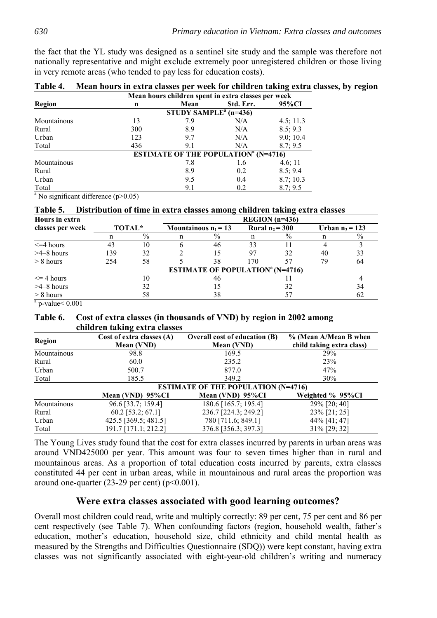the fact that the YL study was designed as a sentinel site study and the sample was therefore not nationally representative and might exclude extremely poor unregistered children or those living in very remote areas (who tended to pay less for education costs).

|             | Mean hours children spent in extra classes per week |                                     |                                                        |           |  |
|-------------|-----------------------------------------------------|-------------------------------------|--------------------------------------------------------|-----------|--|
| Region      | n                                                   | Mean                                | Std. Err.                                              | 95%CI     |  |
|             |                                                     | STUDY SAMPLE <sup>a</sup> $(n=436)$ |                                                        |           |  |
| Mountainous | 13                                                  | 7.9                                 | N/A                                                    | 4.5; 11.3 |  |
| Rural       | 300                                                 | 8.9                                 | N/A                                                    | 8.5; 9.3  |  |
| Urban       | 123                                                 | 9.7                                 | N/A                                                    | 9.0; 10.4 |  |
| Total       | 436                                                 | 9.1                                 | N/A                                                    | 8.7; 9.5  |  |
|             |                                                     |                                     | <b>ESTIMATE OF THE POPULATION<sup>a</sup></b> (N=4716) |           |  |
| Mountainous |                                                     | 7.8                                 | 1.6                                                    | 4.6; 11   |  |
| Rural       |                                                     | 8.9                                 | 0.2                                                    | 8.5; 9.4  |  |
| Urban       |                                                     | 9.5                                 | 0.4                                                    | 8.7; 10.3 |  |
| Total       |                                                     | 9.1                                 | 0.2                                                    | 8.7; 9.5  |  |

**Table 4. Mean hours in extra classes per week for children taking extra classes, by region** 

<sup>a</sup> No significant difference  $(p>0.05)$ 

#### **Table 5. Distribution of time in extra classes among children taking extra classes**

| Hours in extra   |        |      |                                                     | $REGION$ (n=436)  |      |    |                   |
|------------------|--------|------|-----------------------------------------------------|-------------------|------|----|-------------------|
| classes per week | TOTAL* |      | Mountainous $n_1 = 13$                              | Rural $n_2$ = 300 |      |    | Urban $n_3 = 123$ |
|                  |        | $\%$ | $\frac{0}{0}$                                       |                   | $\%$ |    | $\frac{0}{0}$     |
| $\leq$ 4 hours   | 43     | 10   | 46                                                  | 33                |      |    |                   |
| $>4-8$ hours     | 139    | 32   | 15                                                  | 97                | 32   | 40 | 33                |
| $> 8$ hours      | 254    | 58   | 38                                                  | 170               | 57   | 79 | 64                |
|                  |        |      | <b>ESTIMATE OF POPULATION</b> <sup>a</sup> (N=4716) |                   |      |    |                   |
| $\leq$ 4 hours   |        | 10   | 46                                                  |                   |      |    |                   |
| $>4-8$ hours     |        | 32   |                                                     |                   | 32   |    | 34                |
| $> 8$ hours      |        | 58   | 38                                                  |                   |      |    | 62                |

 $a$  p-value  $0.001$ 

#### **Table 6. Cost of extra classes (in thousands of VND) by region in 2002 among children taking extra classes**

| <b>Region</b> | Cost of extra classes (A)<br><b>Mean (VND)</b> | <b>Overall cost of education (B)</b><br>Mean (VND) | % (Mean A/Mean B when<br>child taking extra class) |
|---------------|------------------------------------------------|----------------------------------------------------|----------------------------------------------------|
| Mountainous   | 98.8                                           | 169.5                                              | <b>29%</b>                                         |
| Rural         | 60.0                                           | 235.2                                              | 23%                                                |
| Urban         | 500.7                                          | 877.0                                              | 47%                                                |
| Total         | 185.5                                          | 349.2                                              | 30%                                                |
|               |                                                | <b>ESTIMATE OF THE POPULATION (N=4716)</b>         |                                                    |
|               | Mean (VND) 95%CI                               | Mean (VND) 95%CI                                   | Weighted % 95%CI                                   |
| Mountainous   | 96.6 [33.7; 159.4]                             | 180.6 [165.7; 195.4]                               | 29% [20; 40]                                       |
| Rural         | $60.2$ [53.2; 67.1]                            | 236.7 [224.3; 249.2]                               | $23\%$ [21; 25]                                    |
| Urban         | $425.5$ [369.5; 481.5]                         | 780 [711.6; 849.1]                                 | $44\%$ [41; 47]                                    |
| Total         | 191.7 [171.1; 212.2]                           | 376.8 [356.3; 397.3]                               | $31\%$ [29; 32]                                    |

The Young Lives study found that the cost for extra classes incurred by parents in urban areas was around VND425000 per year. This amount was four to seven times higher than in rural and mountainous areas. As a proportion of total education costs incurred by parents, extra classes constituted 44 per cent in urban areas, while in mountainous and rural areas the proportion was around one-quarter (23-29 per cent) ( $p<0.001$ ).

# **Were extra classes associated with good learning outcomes?**

Overall most children could read, write and multiply correctly: 89 per cent, 75 per cent and 86 per cent respectively (see Table 7). When confounding factors (region, household wealth, father's education, mother's education, household size, child ethnicity and child mental health as measured by the Strengths and Difficulties Questionnaire (SDQ)) were kept constant, having extra classes was not significantly associated with eight-year-old children's writing and numeracy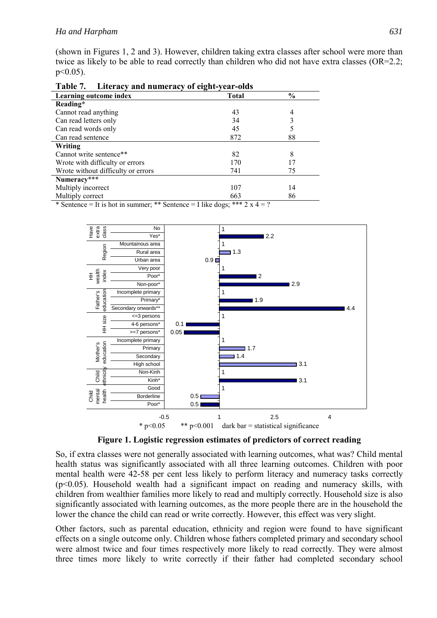(shown in Figures 1, 2 and 3). However, children taking extra classes after school were more than twice as likely to be able to read correctly than children who did not have extra classes  $(OR=2.2;$  $p<0.05$ ).

| Tavit <i>I</i> .<br>Littlaty and numerally of eight-year-blus               |              |                |  |  |  |  |
|-----------------------------------------------------------------------------|--------------|----------------|--|--|--|--|
| Learning outcome index                                                      | <b>Total</b> | $\frac{6}{10}$ |  |  |  |  |
| Reading*                                                                    |              |                |  |  |  |  |
| Cannot read anything                                                        | 43           | 4              |  |  |  |  |
| Can read letters only                                                       | 34           |                |  |  |  |  |
| Can read words only                                                         | 45           |                |  |  |  |  |
| Can read sentence                                                           | 872          | 88             |  |  |  |  |
| Writing                                                                     |              |                |  |  |  |  |
| Cannot write sentence**                                                     | 82           | 8              |  |  |  |  |
| Wrote with difficulty or errors                                             | 170          | 17             |  |  |  |  |
| Wrote without difficulty or errors                                          | 741          | 75             |  |  |  |  |
| Numeracy***                                                                 |              |                |  |  |  |  |
| Multiply incorrect                                                          | 107          | 14             |  |  |  |  |
| Multiply correct                                                            | 663          | 86             |  |  |  |  |
| * Sentence = It is hot in summer; ** Sentence = I like dogs; *** $2x 4 = ?$ |              |                |  |  |  |  |

**Table 7. Literacy and numeracy of eight-year-olds** 



**Figure 1. Logistic regression estimates of predictors of correct reading** 

So, if extra classes were not generally associated with learning outcomes, what was? Child mental health status was significantly associated with all three learning outcomes. Children with poor mental health were 42-58 per cent less likely to perform literacy and numeracy tasks correctly  $(p<0.05)$ . Household wealth had a significant impact on reading and numeracy skills, with children from wealthier families more likely to read and multiply correctly. Household size is also significantly associated with learning outcomes, as the more people there are in the household the lower the chance the child can read or write correctly. However, this effect was very slight.

Other factors, such as parental education, ethnicity and region were found to have significant effects on a single outcome only. Children whose fathers completed primary and secondary school were almost twice and four times respectively more likely to read correctly. They were almost three times more likely to write correctly if their father had completed secondary school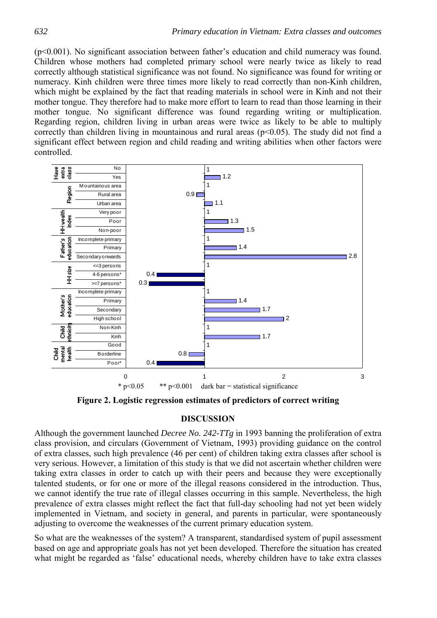(p<0.001). No significant association between father's education and child numeracy was found. Children whose mothers had completed primary school were nearly twice as likely to read correctly although statistical significance was not found. No significance was found for writing or numeracy. Kinh children were three times more likely to read correctly than non-Kinh children, which might be explained by the fact that reading materials in school were in Kinh and not their mother tongue. They therefore had to make more effort to learn to read than those learning in their mother tongue. No significant difference was found regarding writing or multiplication. Regarding region, children living in urban areas were twice as likely to be able to multiply correctly than children living in mountainous and rural areas ( $p<0.05$ ). The study did not find a significant effect between region and child reading and writing abilities when other factors were controlled.



**Figure 2. Logistic regression estimates of predictors of correct writing** 

## **DISCUSSION**

Although the government launched *Decree No. 242-TTg* in 1993 banning the proliferation of extra class provision, and circulars (Government of Vietnam, 1993) providing guidance on the control of extra classes, such high prevalence (46 per cent) of children taking extra classes after school is very serious. However, a limitation of this study is that we did not ascertain whether children were taking extra classes in order to catch up with their peers and because they were exceptionally talented students, or for one or more of the illegal reasons considered in the introduction. Thus, we cannot identify the true rate of illegal classes occurring in this sample. Nevertheless, the high prevalence of extra classes might reflect the fact that full-day schooling had not yet been widely implemented in Vietnam, and society in general, and parents in particular, were spontaneously adjusting to overcome the weaknesses of the current primary education system.

So what are the weaknesses of the system? A transparent, standardised system of pupil assessment based on age and appropriate goals has not yet been developed. Therefore the situation has created what might be regarded as 'false' educational needs, whereby children have to take extra classes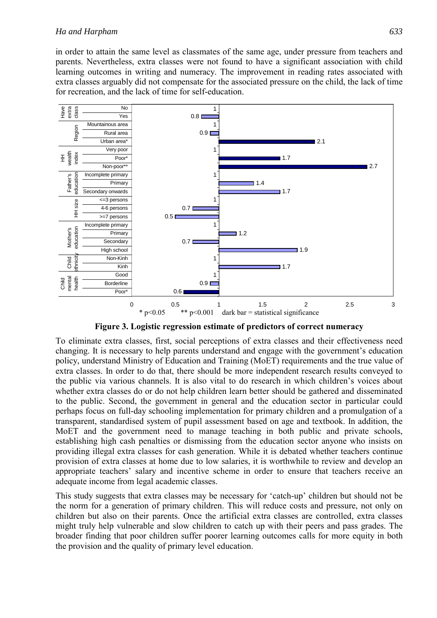#### *Ha and Harpham 633*

in order to attain the same level as classmates of the same age, under pressure from teachers and parents. Nevertheless, extra classes were not found to have a significant association with child learning outcomes in writing and numeracy. The improvement in reading rates associated with extra classes arguably did not compensate for the associated pressure on the child, the lack of time for recreation, and the lack of time for self-education.



**Figure 3. Logistic regression estimate of predictors of correct numeracy** 

To eliminate extra classes, first, social perceptions of extra classes and their effectiveness need changing. It is necessary to help parents understand and engage with the government's education policy, understand Ministry of Education and Training (MoET) requirements and the true value of extra classes. In order to do that, there should be more independent research results conveyed to the public via various channels. It is also vital to do research in which children's voices about whether extra classes do or do not help children learn better should be gathered and disseminated to the public. Second, the government in general and the education sector in particular could perhaps focus on full-day schooling implementation for primary children and a promulgation of a transparent, standardised system of pupil assessment based on age and textbook. In addition, the MoET and the government need to manage teaching in both public and private schools, establishing high cash penalties or dismissing from the education sector anyone who insists on providing illegal extra classes for cash generation. While it is debated whether teachers continue provision of extra classes at home due to low salaries, it is worthwhile to review and develop an appropriate teachers' salary and incentive scheme in order to ensure that teachers receive an adequate income from legal academic classes.

This study suggests that extra classes may be necessary for 'catch-up' children but should not be the norm for a generation of primary children. This will reduce costs and pressure, not only on children but also on their parents. Once the artificial extra classes are controlled, extra classes might truly help vulnerable and slow children to catch up with their peers and pass grades. The broader finding that poor children suffer poorer learning outcomes calls for more equity in both the provision and the quality of primary level education.